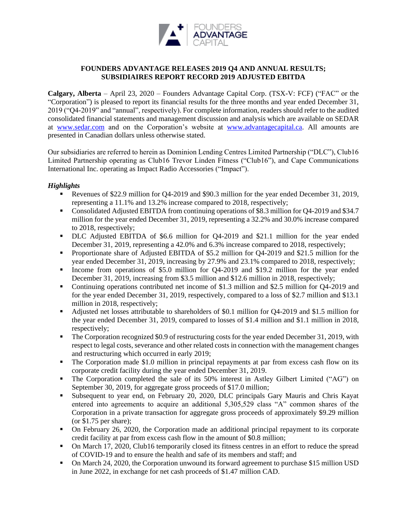

# **FOUNDERS ADVANTAGE RELEASES 2019 Q4 AND ANNUAL RESULTS; SUBSIDIAIRES REPORT RECORD 2019 ADJUSTED EBITDA**

**Calgary, Alberta** – April 23, 2020 – Founders Advantage Capital Corp. (TSX-V: FCF) ("FAC" or the "Corporation") is pleased to report its financial results for the three months and year ended December 31, 2019 ("Q4-2019" and "annual", respectively). For complete information, readers should refer to the audited consolidated financial statements and management discussion and analysis which are available on SEDAR at [www.sedar.com](http://www.sedar.com/) and on the Corporation's website at [www.advantagecapital.ca.](http://www.advantagecapital.ca/) All amounts are presented in Canadian dollars unless otherwise stated.

Our subsidiaries are referred to herein as Dominion Lending Centres Limited Partnership ("DLC"), Club16 Limited Partnership operating as Club16 Trevor Linden Fitness ("Club16"), and Cape Communications International Inc. operating as Impact Radio Accessories ("Impact").

## *Highlights*

- Revenues of \$22.9 million for Q4-2019 and \$90.3 million for the year ended December 31, 2019, representing a 11.1% and 13.2% increase compared to 2018, respectively;
- Consolidated Adjusted EBITDA from continuing operations of \$8.3 million for Q4-2019 and \$34.7 million for the year ended December 31, 2019, representing a 32.2% and 30.0% increase compared to 2018, respectively;
- DLC Adjusted EBITDA of \$6.6 million for Q4-2019 and \$21.1 million for the year ended December 31, 2019, representing a 42.0% and 6.3% increase compared to 2018, respectively;
- Proportionate share of Adjusted EBITDA of \$5.2 million for Q4-2019 and \$21.5 million for the year ended December 31, 2019, increasing by 27.9% and 23.1% compared to 2018, respectively;
- Income from operations of \$5.0 million for Q4-2019 and \$19.2 million for the year ended December 31, 2019, increasing from \$3.5 million and \$12.6 million in 2018, respectively;
- Continuing operations contributed net income of \$1.3 million and \$2.5 million for Q4-2019 and for the year ended December 31, 2019, respectively, compared to a loss of \$2.7 million and \$13.1 million in 2018, respectively;
- Adjusted net losses attributable to shareholders of \$0.1 million for Q4-2019 and \$1.5 million for the year ended December 31, 2019, compared to losses of \$1.4 million and \$1.1 million in 2018, respectively;
- The Corporation recognized \$0.9 of restructuring costs for the year ended December 31, 2019, with respect to legal costs, severance and other related costs in connection with the management changes and restructuring which occurred in early 2019;
- The Corporation made \$1.0 million in principal repayments at par from excess cash flow on its corporate credit facility during the year ended December 31, 2019.
- The Corporation completed the sale of its 50% interest in Astley Gilbert Limited ("AG") on September 30, 2019, for aggregate gross proceeds of \$17.0 million;
- Subsequent to year end, on February 20, 2020, DLC principals Gary Mauris and Chris Kayat entered into agreements to acquire an additional 5,305,529 class "A" common shares of the Corporation in a private transaction for aggregate gross proceeds of approximately \$9.29 million (or \$1.75 per share);
- On February 26, 2020, the Corporation made an additional principal repayment to its corporate credit facility at par from excess cash flow in the amount of \$0.8 million;
- On March 17, 2020, Club16 temporarily closed its fitness centres in an effort to reduce the spread of COVID-19 and to ensure the health and safe of its members and staff; and
- On March 24, 2020, the Corporation unwound its forward agreement to purchase \$15 million USD in June 2022, in exchange for net cash proceeds of \$1.47 million CAD.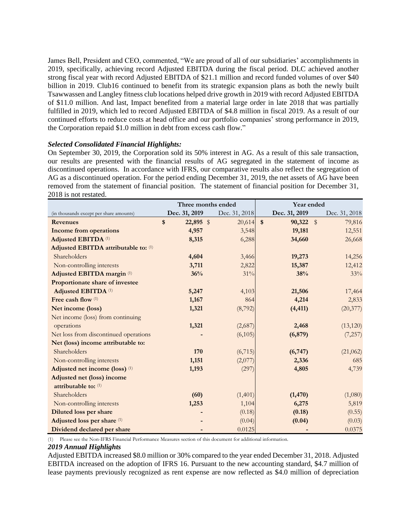James Bell, President and CEO, commented, "We are proud of all of our subsidiaries' accomplishments in 2019, specifically, achieving record Adjusted EBITDA during the fiscal period. DLC achieved another strong fiscal year with record Adjusted EBITDA of \$21.1 million and record funded volumes of over \$40 billion in 2019. Club16 continued to benefit from its strategic expansion plans as both the newly built Tsawwassen and Langley fitness club locations helped drive growth in 2019 with record Adjusted EBITDA of \$11.0 million. And last, Impact benefited from a material large order in late 2018 that was partially fulfilled in 2019, which led to record Adjusted EBITDA of \$4.8 million in fiscal 2019. As a result of our continued efforts to reduce costs at head office and our portfolio companies' strong performance in 2019, the Corporation repaid \$1.0 million in debt from excess cash flow."

## *Selected Consolidated Financial Highlights:*

On September 30, 2019, the Corporation sold its 50% interest in AG. As a result of this sale transaction, our results are presented with the financial results of AG segregated in the statement of income as discontinued operations. In accordance with IFRS, our comparative results also reflect the segregation of AG as a discontinued operation. For the period ending December 31, 2019, the net assets of AG have been removed from the statement of financial position. The statement of financial position for December 31, 2018 is not restated.

|                                         | Three months ended |               |               | Year ended |               |                         |               |
|-----------------------------------------|--------------------|---------------|---------------|------------|---------------|-------------------------|---------------|
| (in thousands except per share amounts) |                    | Dec. 31, 2019 | Dec. 31, 2018 |            | Dec. 31, 2019 |                         | Dec. 31, 2018 |
| <b>Revenues</b>                         | \$                 | $22,895$ \$   | 20,614        | $\sqrt{3}$ | 90,322        | $\sqrt[6]{\frac{1}{2}}$ | 79,816        |
| <b>Income from operations</b>           |                    | 4,957         | 3,548         |            | 19,181        |                         | 12,551        |
| Adjusted EBITDA <sup>(1)</sup>          |                    | 8,315         | 6,288         |            | 34,660        |                         | 26,668        |
| Adjusted EBITDA attributable to: (1)    |                    |               |               |            |               |                         |               |
| Shareholders                            |                    | 4,604         | 3,466         |            | 19,273        |                         | 14,256        |
| Non-controlling interests               |                    | 3,711         | 2,822         |            | 15,387        |                         | 12,412        |
| Adjusted EBITDA margin <sup>(1)</sup>   |                    | 36%           | 31%           |            | 38%           |                         | 33%           |
| Proportionate share of investee         |                    |               |               |            |               |                         |               |
| <b>Adjusted EBITDA (1)</b>              |                    | 5,247         | 4,103         |            | 21,506        |                         | 17,464        |
| Free cash flow (1)                      |                    | 1,167         | 864           |            | 4,214         |                         | 2,833         |
| Net income (loss)                       |                    | 1,321         | (8,792)       |            | (4, 411)      |                         | (20, 377)     |
| Net income (loss) from continuing       |                    |               |               |            |               |                         |               |
| operations                              |                    | 1,321         | (2,687)       |            | 2,468         |                         | (13, 120)     |
| Net loss from discontinued operations   |                    |               | (6,105)       |            | (6, 879)      |                         | (7,257)       |
| Net (loss) income attributable to:      |                    |               |               |            |               |                         |               |
| Shareholders                            |                    | 170           | (6,715)       |            | (6,747)       |                         | (21,062)      |
| Non-controlling interests               |                    | 1,151         | (2,077)       |            | 2,336         |                         | 685           |
| Adjusted net income (loss) (1)          |                    | 1,193         | (297)         |            | 4,805         |                         | 4,739         |
| Adjusted net (loss) income              |                    |               |               |            |               |                         |               |
| attributable to: (1)                    |                    |               |               |            |               |                         |               |
| Shareholders                            |                    | (60)          | (1,401)       |            | (1, 470)      |                         | (1,080)       |
| Non-controlling interests               |                    | 1,253         | 1,104         |            | 6,275         |                         | 5,819         |
| Diluted loss per share                  |                    |               | (0.18)        |            | (0.18)        |                         | (0.55)        |
| Adjusted loss per share (1)             |                    |               | (0.04)        |            | (0.04)        |                         | (0.03)        |
| Dividend declared per share             |                    |               | 0.0125        |            |               |                         | 0.0375        |

(1) Please see the Non-IFRS Financial Performance Measures section of this document for additional information.

### *2019 Annual Highlights*

Adjusted EBITDA increased \$8.0 million or 30% compared to the year ended December 31, 2018. Adjusted EBITDA increased on the adoption of IFRS 16. Pursuant to the new accounting standard, \$4.7 million of lease payments previously recognized as rent expense are now reflected as \$4.0 million of depreciation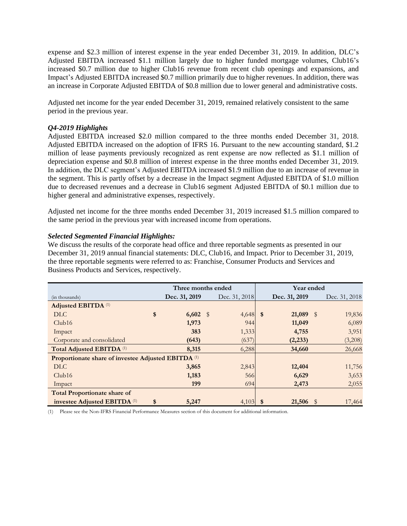expense and \$2.3 million of interest expense in the year ended December 31, 2019. In addition, DLC's Adjusted EBITDA increased \$1.1 million largely due to higher funded mortgage volumes, Club16's increased \$0.7 million due to higher Club16 revenue from recent club openings and expansions, and Impact's Adjusted EBITDA increased \$0.7 million primarily due to higher revenues. In addition, there was an increase in Corporate Adjusted EBITDA of \$0.8 million due to lower general and administrative costs.

Adjusted net income for the year ended December 31, 2019, remained relatively consistent to the same period in the previous year.

## *Q4-2019 Highlights*

Adjusted EBITDA increased \$2.0 million compared to the three months ended December 31, 2018. Adjusted EBITDA increased on the adoption of IFRS 16. Pursuant to the new accounting standard, \$1.2 million of lease payments previously recognized as rent expense are now reflected as \$1.1 million of depreciation expense and \$0.8 million of interest expense in the three months ended December 31, 2019. In addition, the DLC segment's Adjusted EBITDA increased \$1.9 million due to an increase of revenue in the segment. This is partly offset by a decrease in the Impact segment Adjusted EBITDA of \$1.0 million due to decreased revenues and a decrease in Club16 segment Adjusted EBITDA of \$0.1 million due to higher general and administrative expenses, respectively.

Adjusted net income for the three months ended December 31, 2019 increased \$1.5 million compared to the same period in the previous year with increased income from operations.

### *Selected Segmented Financial Highlights:*

We discuss the results of the corporate head office and three reportable segments as presented in our December 31, 2019 annual financial statements: DLC, Club16, and Impact. Prior to December 31, 2019, the three reportable segments were referred to as: Franchise, Consumer Products and Services and Business Products and Services, respectively.

|                                                                | Three months ended |  |               | Year ended |               |      |               |
|----------------------------------------------------------------|--------------------|--|---------------|------------|---------------|------|---------------|
| (in thousands)                                                 | Dec. 31, 2019      |  | Dec. 31, 2018 |            | Dec. 31, 2019 |      | Dec. 31, 2018 |
| <b>Adjusted EBITDA (1)</b>                                     |                    |  |               |            |               |      |               |
| \$<br>DLC                                                      | $6,602$ \$         |  | $4,648$ \$    |            | 21,089        | - \$ | 19,836        |
| Club16                                                         | 1,973              |  | 944           |            | 11,049        |      | 6,089         |
| Impact                                                         | 383                |  | 1,333         |            | 4,755         |      | 3,951         |
| Corporate and consolidated                                     | (643)              |  | (637)         |            | (2, 233)      |      | (3,208)       |
| Total Adjusted EBITDA <sup>(1)</sup>                           | 8,315              |  | 6,288         |            | 34,660        |      | 26,668        |
| Proportionate share of investee Adjusted EBITDA <sup>(1)</sup> |                    |  |               |            |               |      |               |
| <b>DLC</b>                                                     | 3,865              |  | 2,843         |            | 12,404        |      | 11,756        |
| Club16                                                         | 1,183              |  | 566           |            | 6,629         |      | 3,653         |
| Impact                                                         | 199                |  | 694           |            | 2,473         |      | 2,055         |
| <b>Total Proportionate share of</b>                            |                    |  |               |            |               |      |               |
| investee Adjusted EBITDA <sup>(1)</sup><br>\$                  | 5,247              |  | 4,103         | - \$       | 21,506        | Ÿ    | 17,464        |

(1) Please see the Non-IFRS Financial Performance Measures section of this document for additional information.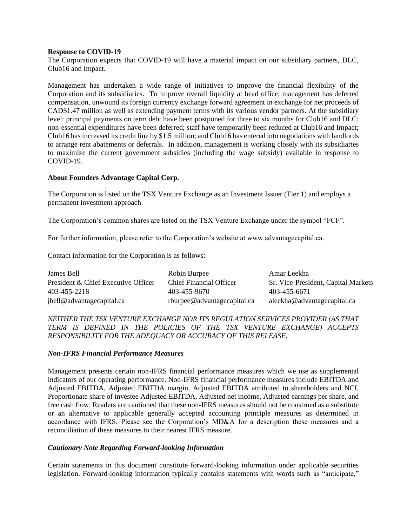### **Response to COVID-19**

The Corporation expects that COVID-19 will have a material impact on our subsidiary partners, DLC, Club16 and Impact.

Management has undertaken a wide range of initiatives to improve the financial flexibility of the Corporation and its subsidiaries. To improve overall liquidity at head office, management has deferred compensation, unwound its foreign currency exchange forward agreement in exchange for net proceeds of CAD\$1.47 million as well as extending payment terms with its various vendor partners. At the subsidiary level: principal payments on term debt have been postponed for three to six months for Club16 and DLC; non-essential expenditures have been deferred; staff have temporarily been reduced at Club16 and Impact; Club16 has increased its credit line by \$1.5 million; and Club16 has entered into negotiations with landlords to arrange rent abatements or deferrals. In addition, management is working closely with its subsidiaries to maximize the current government subsidies (including the wage subsidy) available in response to COVID-19.

### **About Founders Advantage Capital Corp.**

The Corporation is listed on the TSX Venture Exchange as an Investment Issuer (Tier 1) and employs a permanent investment approach.

The Corporation's common shares are listed on the TSX Venture Exchange under the symbol "FCF".

For further information, please refer to the Corporation's website at www.advantagecapital.ca.

Contact information for the Corporation is as follows:

| James Bell                          | Robin Burpee                   | Amar Leekha                         |
|-------------------------------------|--------------------------------|-------------------------------------|
| President & Chief Executive Officer | <b>Chief Financial Officer</b> | Sr. Vice-President, Capital Markets |
| 403-455-2218                        | 403-455-9670                   | 403-455-6671                        |
| jbell@advantagecapital.ca           | rburpee@advantagecapital.ca    | aleekha@advantagecapital.ca         |

## *NEITHER THE TSX VENTURE EXCHANGE NOR ITS REGULATION SERVICES PROVIDER (AS THAT TERM IS DEFINED IN THE POLICIES OF THE TSX VENTURE EXCHANGE) ACCEPTS RESPONSIBILITY FOR THE ADEQUACY OR ACCURACY OF THIS RELEASE.*

### *Non-IFRS Financial Performance Measures*

Management presents certain non-IFRS financial performance measures which we use as supplemental indicators of our operating performance. Non-IFRS financial performance measures include EBITDA and Adjusted EBITDA, Adjusted EBITDA margin, Adjusted EBITDA attributed to shareholders and NCI, Proportionate share of investee Adjusted EBITDA, Adjusted net income, Adjusted earnings per share, and free cash flow. Readers are cautioned that these non-IFRS measures should not be construed as a substitute or an alternative to applicable generally accepted accounting principle measures as determined in accordance with IFRS. Please see the Corporation's MD&A for a description these measures and a reconciliation of these measures to their nearest IFRS measure.

### *Cautionary Note Regarding Forward-looking Information*

Certain statements in this document constitute forward-looking information under applicable securities legislation. Forward-looking information typically contains statements with words such as "anticipate,"